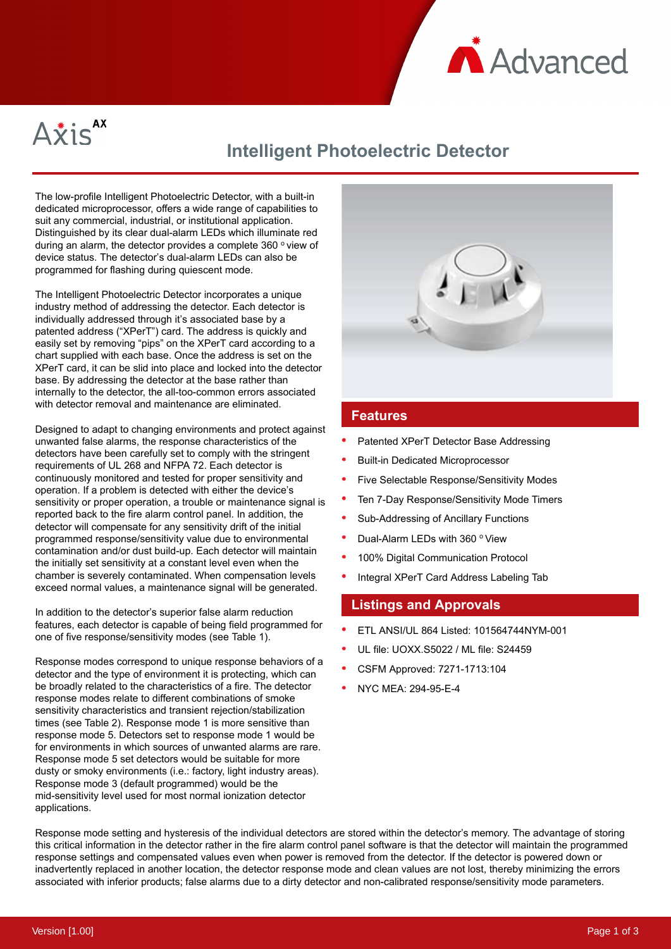



# **Intelligent Photoelectric Detector**

The low-profile Intelligent Photoelectric Detector, with a built-in dedicated microprocessor, offers a wide range of capabilities to suit any commercial, industrial, or institutional application. Distinguished by its clear dual-alarm LEDs which illuminate red during an alarm, the detector provides a complete 360 $\degree$  view of device status. The detector's dual-alarm LEDs can also be programmed for flashing during quiescent mode.

The Intelligent Photoelectric Detector incorporates a unique industry method of addressing the detector. Each detector is individually addressed through it's associated base by a patented address ("XPerT") card. The address is quickly and easily set by removing "pips" on the XPerT card according to a chart supplied with each base. Once the address is set on the XPerT card, it can be slid into place and locked into the detector base. By addressing the detector at the base rather than internally to the detector, the all-too-common errors associated with detector removal and maintenance are eliminated.

Designed to adapt to changing environments and protect against unwanted false alarms, the response characteristics of the detectors have been carefully set to comply with the stringent requirements of UL 268 and NFPA 72. Each detector is continuously monitored and tested for proper sensitivity and operation. If a problem is detected with either the device's sensitivity or proper operation, a trouble or maintenance signal is reported back to the fire alarm control panel. In addition, the detector will compensate for any sensitivity drift of the initial programmed response/sensitivity value due to environmental contamination and/or dust build-up. Each detector will maintain the initially set sensitivity at a constant level even when the chamber is severely contaminated. When compensation levels exceed normal values, a maintenance signal will be generated.

In addition to the detector's superior false alarm reduction features, each detector is capable of being field programmed for one of five response/sensitivity modes (see Table 1).

Response modes correspond to unique response behaviors of a detector and the type of environment it is protecting, which can be broadly related to the characteristics of a fire. The detector response modes relate to different combinations of smoke sensitivity characteristics and transient rejection/stabilization times (see Table 2). Response mode 1 is more sensitive than response mode 5. Detectors set to response mode 1 would be for environments in which sources of unwanted alarms are rare. Response mode 5 set detectors would be suitable for more dusty or smoky environments (i.e.: factory, light industry areas). Response mode 3 (default programmed) would be the mid-sensitivity level used for most normal ionization detector applications.



## **Features**

- Patented XPerT Detector Base Addressing
- Built-in Dedicated Microprocessor
- Five Selectable Response/Sensitivity Modes
- Ten 7-Day Response/Sensitivity Mode Timers
- Sub-Addressing of Ancillary Functions
- Dual-Alarm LEDs with 360 ° View
- 100% Digital Communication Protocol
- Integral XPerT Card Address Labeling Tab

### **Listings and Approvals**

- ETL ANSI/UL 864 Listed: 101564744NYM-001
- UL file: UOXX.S5022 / ML file: S24459
- CSFM Approved: 7271-1713:104
- NYC MEA: 294-95-E-4

Response mode setting and hysteresis of the individual detectors are stored within the detector's memory. The advantage of storing this critical information in the detector rather in the fire alarm control panel software is that the detector will maintain the programmed response settings and compensated values even when power is removed from the detector. If the detector is powered down or inadvertently replaced in another location, the detector response mode and clean values are not lost, thereby minimizing the errors associated with inferior products; false alarms due to a dirty detector and non-calibrated response/sensitivity mode parameters.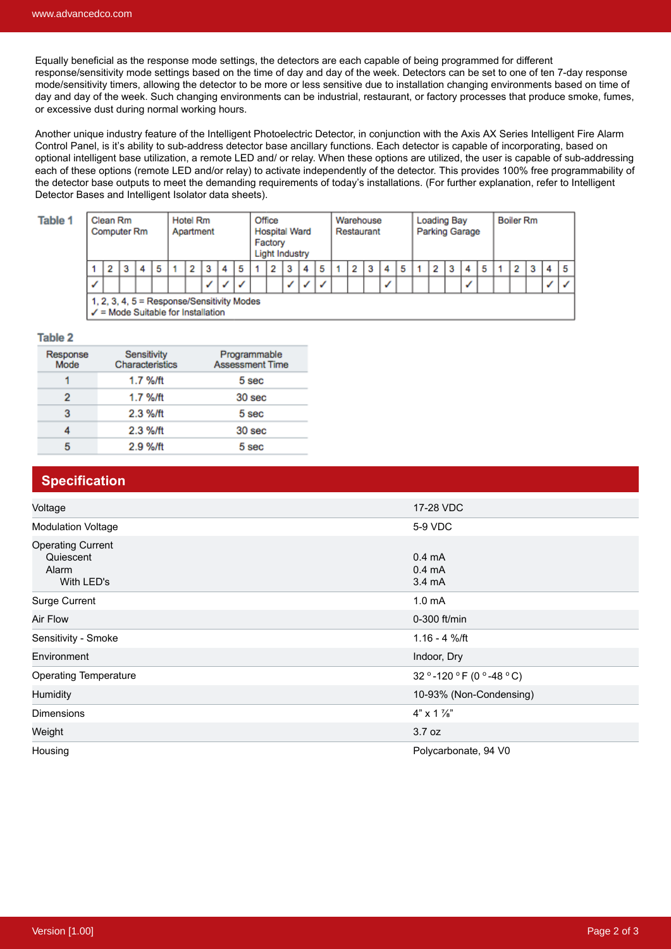Equally beneficial as the response mode settings, the detectors are each capable of being programmed for different response/sensitivity mode settings based on the time of day and day of the week. Detectors can be set to one of ten 7-day response mode/sensitivity timers, allowing the detector to be more or less sensitive due to installation changing environments based on time of day and day of the week. Such changing environments can be industrial, restaurant, or factory processes that produce smoke, fumes, or excessive dust during normal working hours.

Another unique industry feature of the Intelligent Photoelectric Detector, in conjunction with the Axis AX Series Intelligent Fire Alarm Control Panel, is it's ability to sub-address detector base ancillary functions. Each detector is capable of incorporating, based on optional intelligent base utilization, a remote LED and/ or relay. When these options are utilized, the user is capable of sub-addressing each of these options (remote LED and/or relay) to activate independently of the detector. This provides 100% free programmability of the detector base outputs to meet the demanding requirements of today's installations. (For further explanation, refer to Intelligent Detector Bases and Intelligent Isolator data sheets).

| <b>Table 1</b> | Clean Rm<br><b>Computer Rm</b> |                                                                                             |   |   |   | Hotel Rm<br>Apartment |  |   |              |   | Office<br><b>Hospital Ward</b><br>Factory<br>Light Industry |  |   |   | Warehouse<br>Restaurant |  |  |   | Loading Bay<br>Parking Garage |  |  |   | <b>Boiler Rm</b> |  |   |  |  |  |  |  |
|----------------|--------------------------------|---------------------------------------------------------------------------------------------|---|---|---|-----------------------|--|---|--------------|---|-------------------------------------------------------------|--|---|---|-------------------------|--|--|---|-------------------------------|--|--|---|------------------|--|---|--|--|--|--|--|
|                |                                |                                                                                             | з | 4 | 5 |                       |  | 3 |              | 5 |                                                             |  | з | 4 |                         |  |  | 3 | 4                             |  |  | 2 | з                |  | 5 |  |  |  |  |  |
|                |                                |                                                                                             |   |   |   |                       |  |   | $\checkmark$ | ✓ |                                                             |  | ✓ | ✓ |                         |  |  |   |                               |  |  |   |                  |  |   |  |  |  |  |  |
|                |                                | 1, 2, 3, 4, 5 = Response/Sensitivity Modes<br>$\checkmark$ = Mode Suitable for Installation |   |   |   |                       |  |   |              |   |                                                             |  |   |   |                         |  |  |   |                               |  |  |   |                  |  |   |  |  |  |  |  |

#### **Table 2**

| Response<br>Mode | Sensitivity<br>Characteristics | Programmable<br><b>Assessment Time</b> |
|------------------|--------------------------------|----------------------------------------|
| 1                | 1.7 %/ft                       | 5 sec                                  |
| 2                | 1.7 %/ft                       | 30 sec                                 |
| 3                | 2.3 %/ft                       | 5 sec                                  |
| 4                | 2.3 %/ft                       | 30 <sub>sec</sub>                      |
| 5                | 2.9 %/ft                       | 5 sec                                  |

#### **Specification**

| Voltage                                                      | 17-28 VDC                                      |
|--------------------------------------------------------------|------------------------------------------------|
| <b>Modulation Voltage</b>                                    | 5-9 VDC                                        |
| <b>Operating Current</b><br>Quiescent<br>Alarm<br>With LED's | $0.4 \text{ mA}$<br>$0.4 \text{ mA}$<br>3.4 mA |
| Surge Current                                                | 1.0 <sub>m</sub> A                             |
| Air Flow                                                     | 0-300 ft/min                                   |
| Sensitivity - Smoke                                          | $1.16 - 4$ %/ft                                |
| Environment                                                  | Indoor, Dry                                    |
| <b>Operating Temperature</b>                                 | 32 ° -120 ° F (0 ° -48 ° C)                    |
| Humidity                                                     | 10-93% (Non-Condensing)                        |
| <b>Dimensions</b>                                            | $4" \times 1$ //s"                             |
| Weight                                                       | 3.7 oz                                         |
| Housing                                                      | Polycarbonate, 94 V0                           |